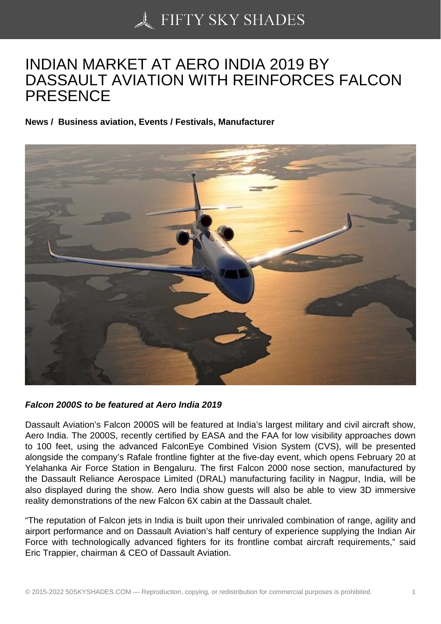## [INDIAN MARKET AT A](https://50skyshades.com)ERO INDIA 2019 BY DASSAULT AVIATION WITH REINFORCES FALCON PRESENCE

News / Business aviation, Events / Festivals, Manufacturer

Falcon 2000S to be featured at Aero India 2019

Dassault Aviation's Falcon 2000S will be featured at India's largest military and civil aircraft show, Aero India. The 2000S, recently certified by EASA and the FAA for low visibility approaches down to 100 feet, using the advanced FalconEye Combined Vision System (CVS), will be presented alongside the company's Rafale frontline fighter at the five-day event, which opens February 20 at Yelahanka Air Force Station in Bengaluru. The first Falcon 2000 nose section, manufactured by the Dassault Reliance Aerospace Limited (DRAL) manufacturing facility in Nagpur, India, will be also displayed during the show. Aero India show guests will also be able to view 3D immersive reality demonstrations of the new Falcon 6X cabin at the Dassault chalet.

"The reputation of Falcon jets in India is built upon their unrivaled combination of range, agility and airport performance and on Dassault Aviation's half century of experience supplying the Indian Air Force with technologically advanced fighters for its frontline combat aircraft requirements," said Eric Trappier, chairman & CEO of Dassault Aviation.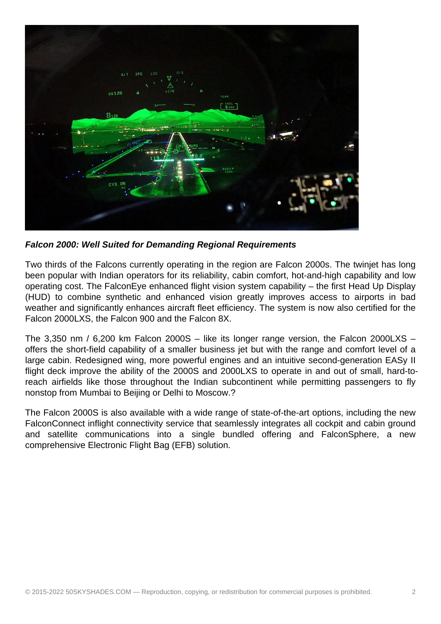

**Falcon 2000: Well Suited for Demanding Regional Requirements**

Two thirds of the Falcons currently operating in the region are Falcon 2000s. The twinjet has long been popular with Indian operators for its reliability, cabin comfort, hot-and-high capability and low operating cost. The FalconEye enhanced flight vision system capability – the first Head Up Display (HUD) to combine synthetic and enhanced vision greatly improves access to airports in bad weather and significantly enhances aircraft fleet efficiency. The system is now also certified for the Falcon 2000LXS, the Falcon 900 and the Falcon 8X.

The 3,350 nm / 6,200 km Falcon 2000S – like its longer range version, the Falcon 2000LXS – offers the short-field capability of a smaller business jet but with the range and comfort level of a large cabin. Redesigned wing, more powerful engines and an intuitive second-generation EASy II flight deck improve the ability of the 2000S and 2000LXS to operate in and out of small, hard-toreach airfields like those throughout the Indian subcontinent while permitting passengers to fly nonstop from Mumbai to Beijing or Delhi to Moscow.?

The Falcon 2000S is also available with a wide range of state-of-the-art options, including the new FalconConnect inflight connectivity service that seamlessly integrates all cockpit and cabin ground and satellite communications into a single bundled offering and FalconSphere, a new comprehensive Electronic Flight Bag (EFB) solution.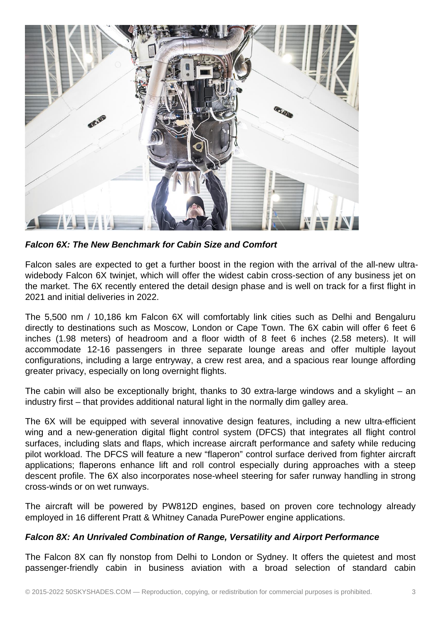

**Falcon 6X: The New Benchmark for Cabin Size and Comfort**

Falcon sales are expected to get a further boost in the region with the arrival of the all-new ultrawidebody Falcon 6X twinjet, which will offer the widest cabin cross-section of any business jet on the market. The 6X recently entered the detail design phase and is well on track for a first flight in 2021 and initial deliveries in 2022.

The 5,500 nm / 10,186 km Falcon 6X will comfortably link cities such as Delhi and Bengaluru directly to destinations such as Moscow, London or Cape Town. The 6X cabin will offer 6 feet 6 inches (1.98 meters) of headroom and a floor width of 8 feet 6 inches (2.58 meters). It will accommodate 12-16 passengers in three separate lounge areas and offer multiple layout configurations, including a large entryway, a crew rest area, and a spacious rear lounge affording greater privacy, especially on long overnight flights.

The cabin will also be exceptionally bright, thanks to 30 extra-large windows and a skylight – an industry first – that provides additional natural light in the normally dim galley area.

The 6X will be equipped with several innovative design features, including a new ultra-efficient wing and a new-generation digital flight control system (DFCS) that integrates all flight control surfaces, including slats and flaps, which increase aircraft performance and safety while reducing pilot workload. The DFCS will feature a new "flaperon" control surface derived from fighter aircraft applications; flaperons enhance lift and roll control especially during approaches with a steep descent profile. The 6X also incorporates nose-wheel steering for safer runway handling in strong cross-winds or on wet runways.

The aircraft will be powered by PW812D engines, based on proven core technology already employed in 16 different Pratt & Whitney Canada PurePower engine applications.

## **Falcon 8X: An Unrivaled Combination of Range, Versatility and Airport Performance**

The Falcon 8X can fly nonstop from Delhi to London or Sydney. It offers the quietest and most passenger-friendly cabin in business aviation with a broad selection of standard cabin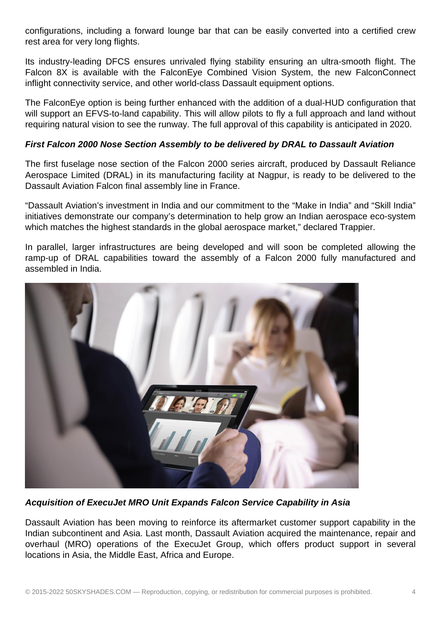configurations, including a forward lounge bar that can be easily converted into a certified crew rest area for very long flights.

Its industry-leading DFCS ensures unrivaled flying stability ensuring an ultra-smooth flight. The Falcon 8X is available with the FalconEye Combined Vision System, the new FalconConnect inflight connectivity service, and other world-class Dassault equipment options.

The FalconEye option is being further enhanced with the addition of a dual-HUD configuration that will support an EFVS-to-land capability. This will allow pilots to fly a full approach and land without requiring natural vision to see the runway. The full approval of this capability is anticipated in 2020.

## **First Falcon 2000 Nose Section Assembly to be delivered by DRAL to Dassault Aviation**

The first fuselage nose section of the Falcon 2000 series aircraft, produced by Dassault Reliance Aerospace Limited (DRAL) in its manufacturing facility at Nagpur, is ready to be delivered to the Dassault Aviation Falcon final assembly line in France.

"Dassault Aviation's investment in India and our commitment to the "Make in India" and "Skill India" initiatives demonstrate our company's determination to help grow an Indian aerospace eco-system which matches the highest standards in the global aerospace market," declared Trappier.

In parallel, larger infrastructures are being developed and will soon be completed allowing the ramp-up of DRAL capabilities toward the assembly of a Falcon 2000 fully manufactured and assembled in India.



**Acquisition of ExecuJet MRO Unit Expands Falcon Service Capability in Asia** 

Dassault Aviation has been moving to reinforce its aftermarket customer support capability in the Indian subcontinent and Asia. Last month, Dassault Aviation acquired the maintenance, repair and overhaul (MRO) operations of the ExecuJet Group, which offers product support in several locations in Asia, the Middle East, Africa and Europe.